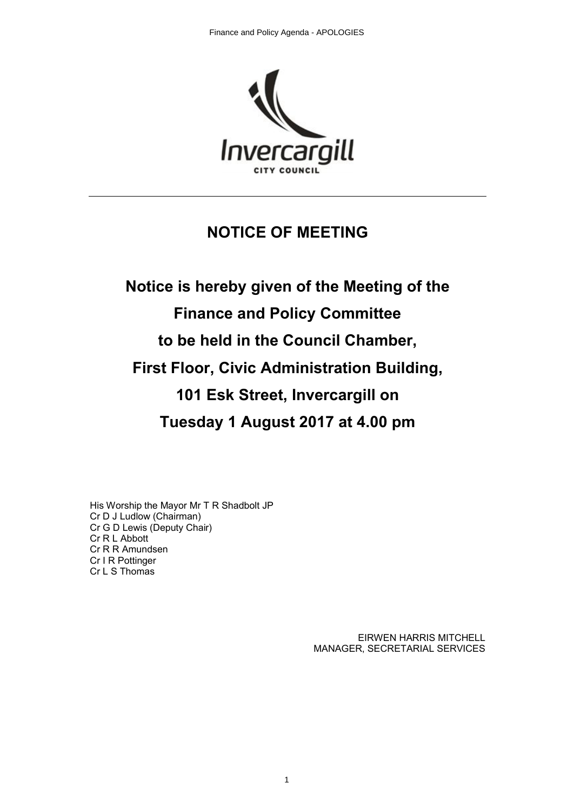

# **NOTICE OF MEETING**

# **Notice is hereby given of the Meeting of the Finance and Policy Committee to be held in the Council Chamber, First Floor, Civic Administration Building, 101 Esk Street, Invercargill on Tuesday 1 August 2017 at 4.00 pm**

His Worship the Mayor Mr T R Shadbolt JP Cr D J Ludlow (Chairman) Cr G D Lewis (Deputy Chair) Cr R L Abbott Cr R R Amundsen Cr I R Pottinger Cr L S Thomas

> EIRWEN HARRIS MITCHELL MANAGER, SECRETARIAL SERVICES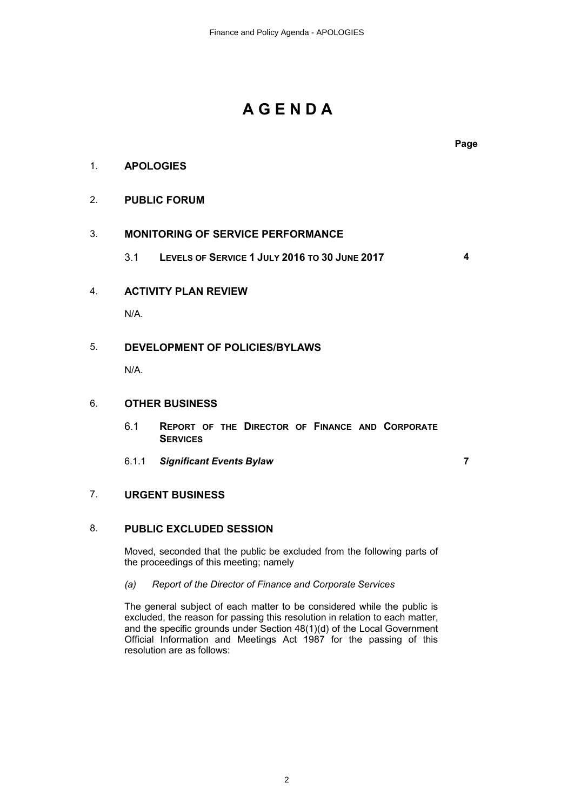# **A G E N D A**

**Page**

# 1. **APOLOGIES**

# 2. **PUBLIC FORUM**

# 3. **MONITORING OF SERVICE PERFORMANCE**

3.1 **LEVELS OF SERVICE 1 JULY 2016 TO 30 JUNE 2017 4**

# 4. **ACTIVITY PLAN REVIEW**

N/A.

# 5. **DEVELOPMENT OF POLICIES/BYLAWS**

N/A.

#### 6. **OTHER BUSINESS**

- 6.1 **REPORT OF THE DIRECTOR OF FINANCE AND CORPORATE SERVICES**
- 6.1.1 *Significant Events Bylaw* **7**

# 7. **URGENT BUSINESS**

# 8. **PUBLIC EXCLUDED SESSION**

Moved, seconded that the public be excluded from the following parts of the proceedings of this meeting; namely

#### *(a) Report of the Director of Finance and Corporate Services*

The general subject of each matter to be considered while the public is excluded, the reason for passing this resolution in relation to each matter, and the specific grounds under Section 48(1)(d) of the Local Government Official Information and Meetings Act 1987 for the passing of this resolution are as follows: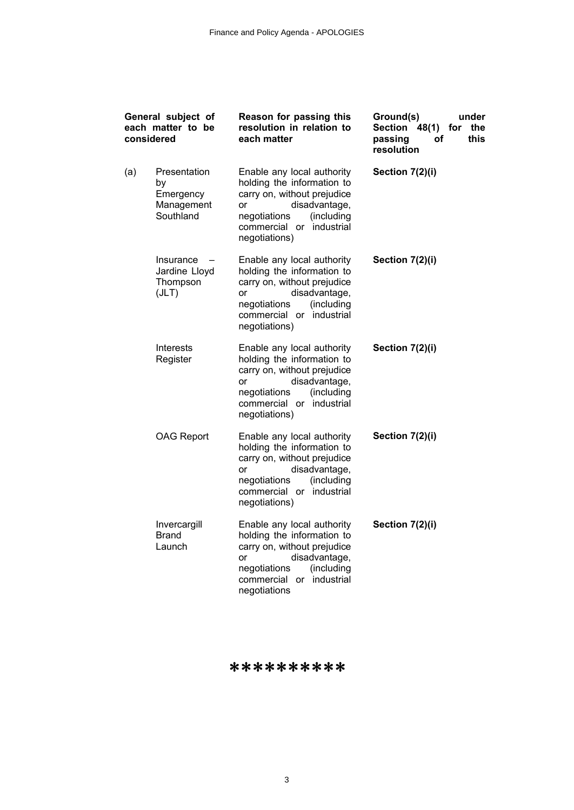| General subject of<br>each matter to be<br>considered |                                                                             | Reason for passing this<br>resolution in relation to<br>each matter                                                                                                                              | Ground(s)<br>under<br><b>Section</b><br>48(1)<br>the<br>for<br>this<br>passing<br>οf<br>resolution |
|-------------------------------------------------------|-----------------------------------------------------------------------------|--------------------------------------------------------------------------------------------------------------------------------------------------------------------------------------------------|----------------------------------------------------------------------------------------------------|
| (a)                                                   | Presentation<br>by<br>Emergency<br>Management<br>Southland                  | Enable any local authority<br>holding the information to<br>carry on, without prejudice<br>disadvantage,<br>or<br>(including<br>negotiations<br>industrial<br>commercial or<br>negotiations)     | Section 7(2)(i)                                                                                    |
|                                                       | Insurance<br>$\overline{\phantom{m}}$<br>Jardine Lloyd<br>Thompson<br>(JLT) | Enable any local authority<br>holding the information to<br>carry on, without prejudice<br>disadvantage,<br>or<br>(including<br>negotiations<br>commercial or<br>industrial<br>negotiations)     | Section 7(2)(i)                                                                                    |
|                                                       | <b>Interests</b><br>Register                                                | Enable any local authority<br>holding the information to<br>carry on, without prejudice<br>disadvantage,<br><b>or</b><br>(including<br>negotiations<br>commercial or industrial<br>negotiations) | Section 7(2)(i)                                                                                    |
|                                                       | <b>OAG Report</b>                                                           | Enable any local authority<br>holding the information to<br>carry on, without prejudice<br>disadvantage,<br>or<br>(including<br>negotiations<br>commercial or industrial<br>negotiations)        | Section 7(2)(i)                                                                                    |
|                                                       | Invercargill<br><b>Brand</b><br>Launch                                      | Enable any local authority<br>holding the information to<br>carry on, without prejudice<br>disadvantage,<br>or<br>(including<br>negotiations<br>commercial or industrial<br>negotiations         | Section 7(2)(i)                                                                                    |

\*\*\*\*\*\*\*\*\*\*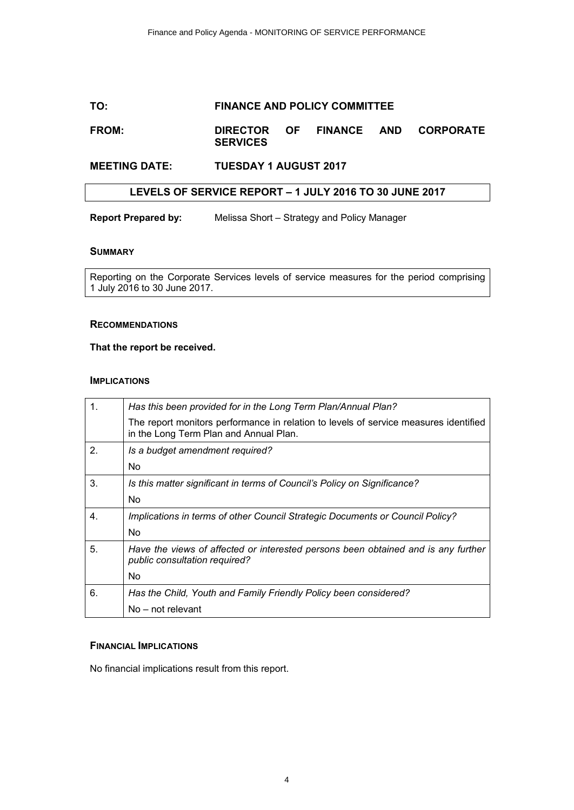# **TO: FINANCE AND POLICY COMMITTEE**

## **FROM: DIRECTOR OF FINANCE AND CORPORATE SERVICES**

# **MEETING DATE: TUESDAY 1 AUGUST 2017**

#### **LEVELS OF SERVICE REPORT – 1 JULY 2016 TO 30 JUNE 2017**

**Report Prepared by:** Melissa Short – Strategy and Policy Manager

#### **SUMMARY**

Reporting on the Corporate Services levels of service measures for the period comprising 1 July 2016 to 30 June 2017.

#### **RECOMMENDATIONS**

#### **That the report be received.**

#### **IMPLICATIONS**

|                  | Has this been provided for in the Long Term Plan/Annual Plan?                                                                  |
|------------------|--------------------------------------------------------------------------------------------------------------------------------|
|                  | The report monitors performance in relation to levels of service measures identified<br>in the Long Term Plan and Annual Plan. |
| $\overline{2}$ . | Is a budget amendment required?                                                                                                |
|                  | No.                                                                                                                            |
| 3.               | Is this matter significant in terms of Council's Policy on Significance?                                                       |
|                  | No.                                                                                                                            |
| 4.               | Implications in terms of other Council Strategic Documents or Council Policy?                                                  |
|                  | No.                                                                                                                            |
| 5.               | Have the views of affected or interested persons been obtained and is any further<br>public consultation required?             |
|                  | No.                                                                                                                            |
| 6.               | Has the Child, Youth and Family Friendly Policy been considered?                                                               |
|                  | No – not relevant                                                                                                              |

#### **FINANCIAL IMPLICATIONS**

No financial implications result from this report.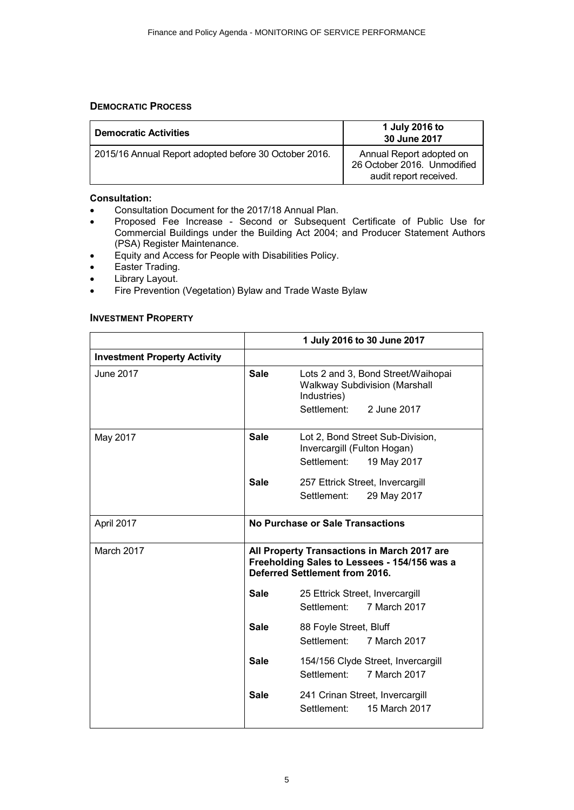# **DEMOCRATIC PROCESS**

| <b>Democratic Activities</b>                          | 1 July 2016 to<br>30 June 2017                                                    |
|-------------------------------------------------------|-----------------------------------------------------------------------------------|
| 2015/16 Annual Report adopted before 30 October 2016. | Annual Report adopted on<br>26 October 2016. Unmodified<br>audit report received. |

# **Consultation:**

- ∑ Consultation Document for the 2017/18 Annual Plan.
- ∑ Proposed Fee Increase Second or Subsequent Certificate of Public Use for Commercial Buildings under the Building Act 2004; and Producer Statement Authors (PSA) Register Maintenance.
- ∑ Equity and Access for People with Disabilities Policy.
- Easter Trading.
- Library Layout.
- Fire Prevention (Vegetation) Bylaw and Trade Waste Bylaw

#### **INVESTMENT PROPERTY**

|                                     |                                                                                                                               | 1 July 2016 to 30 June 2017                                                                   |
|-------------------------------------|-------------------------------------------------------------------------------------------------------------------------------|-----------------------------------------------------------------------------------------------|
| <b>Investment Property Activity</b> |                                                                                                                               |                                                                                               |
| June 2017                           | <b>Sale</b>                                                                                                                   | Lots 2 and 3, Bond Street/Waihopai<br><b>Walkway Subdivision (Marshall</b><br>Industries)     |
|                                     |                                                                                                                               | Settlement: 2 June 2017                                                                       |
| May 2017                            | <b>Sale</b>                                                                                                                   | Lot 2, Bond Street Sub-Division,<br>Invercargill (Fulton Hogan)<br>Settlement:<br>19 May 2017 |
|                                     | <b>Sale</b>                                                                                                                   | 257 Ettrick Street, Invercargill<br>Settlement:<br>29 May 2017                                |
|                                     |                                                                                                                               |                                                                                               |
| April 2017                          |                                                                                                                               | No Purchase or Sale Transactions                                                              |
| March 2017                          | All Property Transactions in March 2017 are<br>Freeholding Sales to Lessees - 154/156 was a<br>Deferred Settlement from 2016. |                                                                                               |
|                                     | <b>Sale</b>                                                                                                                   | 25 Ettrick Street, Invercargill<br>Settlement:<br>7 March 2017                                |
|                                     |                                                                                                                               |                                                                                               |
|                                     | <b>Sale</b>                                                                                                                   | 88 Foyle Street, Bluff<br>Settlement:<br>7 March 2017                                         |
|                                     | <b>Sale</b>                                                                                                                   | 154/156 Clyde Street, Invercargill<br>Settlement:<br>7 March 2017                             |
|                                     | <b>Sale</b>                                                                                                                   | 241 Crinan Street, Invercargill<br>15 March 2017<br>Settlement:                               |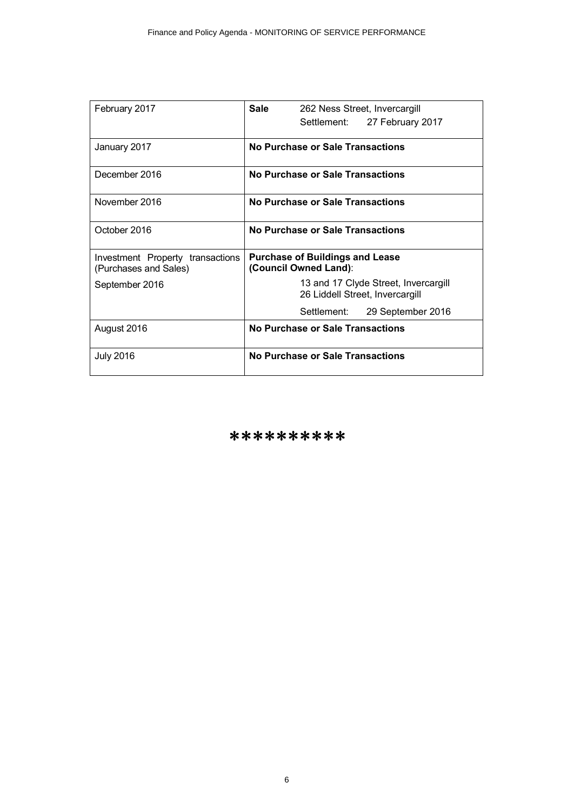| February 2017                                             | Sale<br>262 Ness Street, Invercargill                                   |
|-----------------------------------------------------------|-------------------------------------------------------------------------|
|                                                           | Settlement:<br>27 February 2017                                         |
| January 2017                                              | No Purchase or Sale Transactions                                        |
| December 2016                                             | No Purchase or Sale Transactions                                        |
| November 2016                                             | No Purchase or Sale Transactions                                        |
| October 2016                                              | No Purchase or Sale Transactions                                        |
| Investment Property transactions<br>(Purchases and Sales) | <b>Purchase of Buildings and Lease</b><br>(Council Owned Land):         |
| September 2016                                            | 13 and 17 Clyde Street, Invercargill<br>26 Liddell Street, Invercargill |
|                                                           | Settlement:<br>29 September 2016                                        |
| August 2016                                               | No Purchase or Sale Transactions                                        |
| <b>July 2016</b>                                          | No Purchase or Sale Transactions                                        |

\*\*\*\*\*\*\*\*\*\*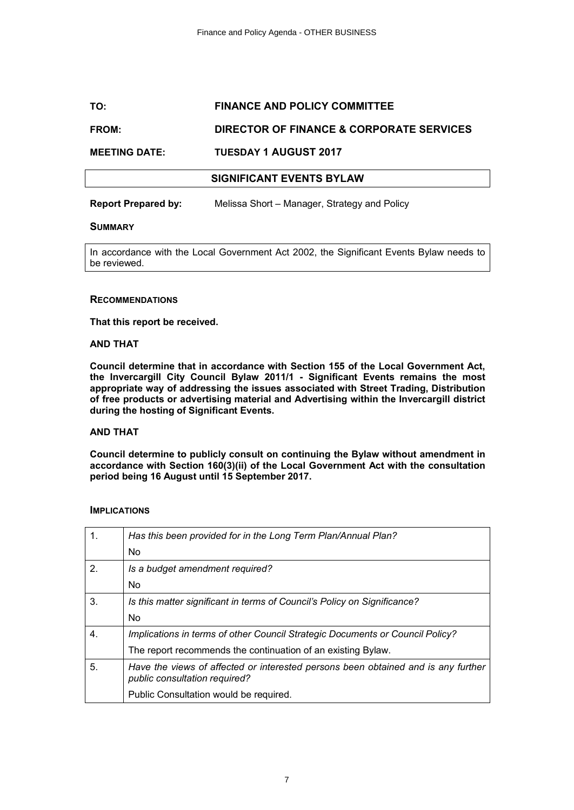# **TO: FINANCE AND POLICY COMMITTEE**

# **FROM: DIRECTOR OF FINANCE & CORPORATE SERVICES**

#### **MEETING DATE: TUESDAY 1 AUGUST 2017**

#### **SIGNIFICANT EVENTS BYLAW**

**Report Prepared by:** Melissa Short – Manager, Strategy and Policy

#### **SUMMARY**

In accordance with the Local Government Act 2002, the Significant Events Bylaw needs to be reviewed.

#### **RECOMMENDATIONS**

**That this report be received.**

#### **AND THAT**

**Council determine that in accordance with Section 155 of the Local Government Act, the Invercargill City Council Bylaw 2011/1 - Significant Events remains the most appropriate way of addressing the issues associated with Street Trading, Distribution of free products or advertising material and Advertising within the Invercargill district during the hosting of Significant Events.**

#### **AND THAT**

**Council determine to publicly consult on continuing the Bylaw without amendment in accordance with Section 160(3)(ii) of the Local Government Act with the consultation period being 16 August until 15 September 2017.**

#### **IMPLICATIONS**

| 1.             | Has this been provided for in the Long Term Plan/Annual Plan?                                                      |
|----------------|--------------------------------------------------------------------------------------------------------------------|
|                | No.                                                                                                                |
| 2 <sub>1</sub> | Is a budget amendment required?                                                                                    |
|                | No.                                                                                                                |
| 3.             | Is this matter significant in terms of Council's Policy on Significance?                                           |
|                | No.                                                                                                                |
| 4.             | Implications in terms of other Council Strategic Documents or Council Policy?                                      |
|                | The report recommends the continuation of an existing Bylaw.                                                       |
| 5.             | Have the views of affected or interested persons been obtained and is any further<br>public consultation required? |
|                | Public Consultation would be required.                                                                             |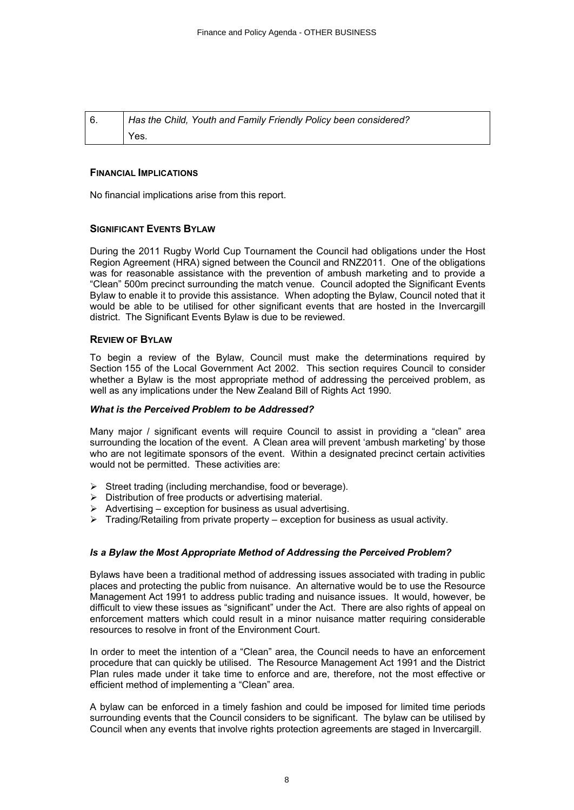| Has the Child, Youth and Family Friendly Policy been considered? |  |
|------------------------------------------------------------------|--|
| Yes.                                                             |  |

#### **FINANCIAL IMPLICATIONS**

No financial implications arise from this report.

#### **SIGNIFICANT EVENTS BYLAW**

During the 2011 Rugby World Cup Tournament the Council had obligations under the Host Region Agreement (HRA) signed between the Council and RNZ2011. One of the obligations was for reasonable assistance with the prevention of ambush marketing and to provide a "Clean" 500m precinct surrounding the match venue. Council adopted the Significant Events Bylaw to enable it to provide this assistance. When adopting the Bylaw, Council noted that it would be able to be utilised for other significant events that are hosted in the Invercargill district. The Significant Events Bylaw is due to be reviewed.

#### **REVIEW OF BYLAW**

To begin a review of the Bylaw, Council must make the determinations required by Section 155 of the Local Government Act 2002. This section requires Council to consider whether a Bylaw is the most appropriate method of addressing the perceived problem, as well as any implications under the New Zealand Bill of Rights Act 1990.

#### *What is the Perceived Problem to be Addressed?*

Many major / significant events will require Council to assist in providing a "clean" area surrounding the location of the event. A Clean area will prevent 'ambush marketing' by those who are not legitimate sponsors of the event. Within a designated precinct certain activities would not be permitted. These activities are:

- $\triangleright$  Street trading (including merchandise, food or beverage).
- $\triangleright$  Distribution of free products or advertising material.
- $\triangleright$  Advertising exception for business as usual advertising.
- $\triangleright$  Trading/Retailing from private property exception for business as usual activity.

#### *Is a Bylaw the Most Appropriate Method of Addressing the Perceived Problem?*

Bylaws have been a traditional method of addressing issues associated with trading in public places and protecting the public from nuisance. An alternative would be to use the Resource Management Act 1991 to address public trading and nuisance issues. It would, however, be difficult to view these issues as "significant" under the Act. There are also rights of appeal on enforcement matters which could result in a minor nuisance matter requiring considerable resources to resolve in front of the Environment Court.

In order to meet the intention of a "Clean" area, the Council needs to have an enforcement procedure that can quickly be utilised. The Resource Management Act 1991 and the District Plan rules made under it take time to enforce and are, therefore, not the most effective or efficient method of implementing a "Clean" area.

A bylaw can be enforced in a timely fashion and could be imposed for limited time periods surrounding events that the Council considers to be significant. The bylaw can be utilised by Council when any events that involve rights protection agreements are staged in Invercargill.